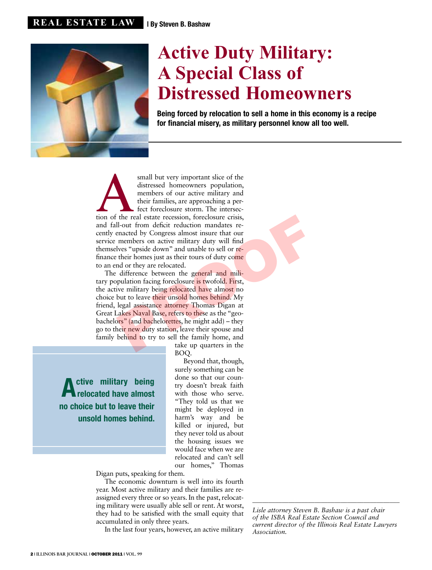

## **Active Duty Military: A Special Class of Distressed Homeowners**

Being forced by relocation to sell a home in this economy is a recipe for financial misery, as military personnel know all too well.

small but very important slice of the distressed homeowners population, members of our active military and their families, are approaching a perfect foreclosure storm. The intersection of the real estate recession, foreclo distressed homeowners population, members of our active military and their families, are approaching a perfect foreclosure storm. The intersecand fall-out from deficit reduction mandates recently enacted by Congress almost insure that our service members on active military duty will find themselves "upside down" and unable to sell or refinance their homes just as their tours of duty come to an end or they are relocated.

The difference between the general and military population facing foreclosure is twofold. First, the active military being relocated have almost no choice but to leave their unsold homes behind. My friend, legal assistance attorney Thomas Digan at Great Lakes Naval Base, refers to these as the "geobachelors" (and bachelorettes, he might add) – they go to their new duty station, leave their spouse and family behind to try to sell the family home, and the real estate recession, foreclosure crisis,<br>
Il-out from deficit reduction mandates re-<br>
enacted by Congress almost insure that our<br>
members on active military duty will find<br>
lves "upside down" and unable to sell or re

take up quarters in the BOQ.

ctive military being relocated have almost no choice but to leave their unsold homes behind.

Beyond that, though, surely something can be done so that our country doesn't break faith with those who serve. "They told us that we might be deployed in harm's way and be killed or injured, but they never told us about the housing issues we would face when we are relocated and can't sell our homes," Thomas

Digan puts, speaking for them.

The economic downturn is well into its fourth year. Most active military and their families are reassigned every three or so years. In the past, relocating military were usually able sell or rent. At worst, they had to be satisfied with the small equity that accumulated in only three years.

In the last four years, however, an active military

*Lisle attorney Steven B. Bashaw is a past chair of the ISBA Real Estate Section Council and current director of the Illinois Real Estate Lawyers Association.* 

\_\_\_\_\_\_\_\_\_\_\_\_\_\_\_\_\_\_\_\_\_\_\_\_\_\_\_\_\_\_\_\_\_\_\_\_\_\_\_\_\_\_\_\_\_